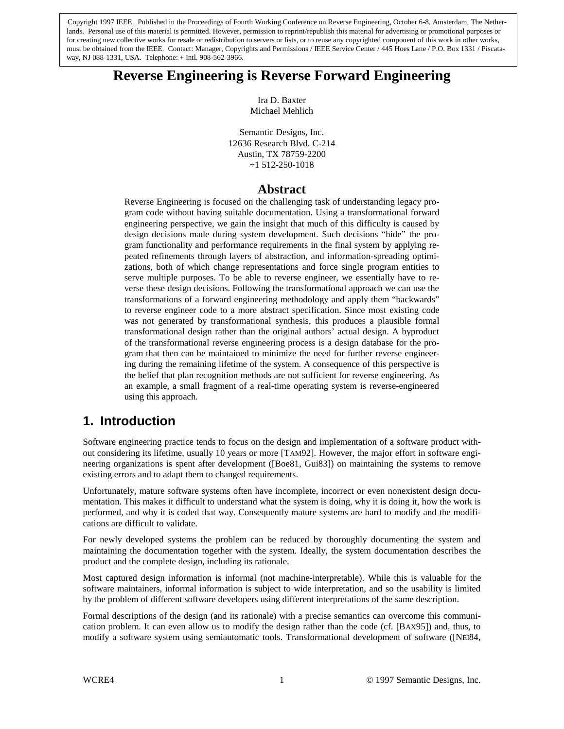Copyright 1997 IEEE. Published in the Proceedings of Fourth Working Conference on Reverse Engineering, October 6-8, Amsterdam, The Netherlands. Personal use of this material is permitted. However, permission to reprint/republish this material for advertising or promotional purposes or for creating new collective works for resale or redistribution to servers or lists, or to reuse any copyrighted component of this work in other works, must be obtained from the IEEE. Contact: Manager, Copyrights and Permissions / IEEE Service Center / 445 Hoes Lane / P.O. Box 1331 / Piscataway, NJ 088-1331, USA. Telephone: + Intl. 908-562-3966.

## **Reverse Engineering is Reverse Forward Engineering**

Ira D. Baxter Michael Mehlich

Semantic Designs, Inc. 12636 Research Blvd. C-214 Austin, TX 78759-2200 +1 512-250-1018

### **Abstract**

Reverse Engineering is focused on the challenging task of understanding legacy program code without having suitable documentation. Using a transformational forward engineering perspective, we gain the insight that much of this difficulty is caused by design decisions made during system development. Such decisions "hide" the program functionality and performance requirements in the final system by applying repeated refinements through layers of abstraction, and information-spreading optimizations, both of which change representations and force single program entities to serve multiple purposes. To be able to reverse engineer, we essentially have to reverse these design decisions. Following the transformational approach we can use the transformations of a forward engineering methodology and apply them "backwards" to reverse engineer code to a more abstract specification. Since most existing code was not generated by transformational synthesis, this produces a plausible formal transformational design rather than the original authors' actual design. A byproduct of the transformational reverse engineering process is a design database for the program that then can be maintained to minimize the need for further reverse engineering during the remaining lifetime of the system. A consequence of this perspective is the belief that plan recognition methods are not sufficient for reverse engineering. As an example, a small fragment of a real-time operating system is reverse-engineered using this approach.

### **1. Introduction**

Software engineering practice tends to focus on the design and implementation of a software product without considering its lifetime, usually 10 years or more [TAM92]. However, the major effort in software engineering organizations is spent after development ([Boe81, Gui83]) on maintaining the systems to remove existing errors and to adapt them to changed requirements.

Unfortunately, mature software systems often have incomplete, incorrect or even nonexistent design documentation. This makes it difficult to understand what the system is doing, why it is doing it, how the work is performed, and why it is coded that way. Consequently mature systems are hard to modify and the modifications are difficult to validate.

For newly developed systems the problem can be reduced by thoroughly documenting the system and maintaining the documentation together with the system. Ideally, the system documentation describes the product and the complete design, including its rationale.

Most captured design information is informal (not machine-interpretable). While this is valuable for the software maintainers, informal information is subject to wide interpretation, and so the usability is limited by the problem of different software developers using different interpretations of the same description.

Formal descriptions of the design (and its rationale) with a precise semantics can overcome this communication problem. It can even allow us to modify the design rather than the code (cf. [BAX95]) and, thus, to modify a software system using semiautomatic tools. Transformational development of software ([NEI84,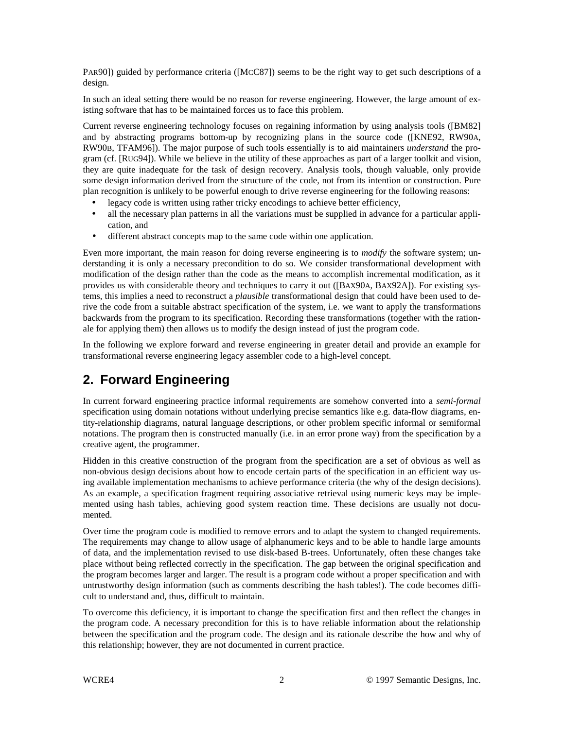PAR90]) guided by performance criteria ([MCC87]) seems to be the right way to get such descriptions of a design.

In such an ideal setting there would be no reason for reverse engineering. However, the large amount of existing software that has to be maintained forces us to face this problem.

Current reverse engineering technology focuses on regaining information by using analysis tools ([BM82] and by abstracting programs bottom-up by recognizing plans in the source code ([KNE92, RW90A, RW90B, TFAM96]). The major purpose of such tools essentially is to aid maintainers *understand* the program (cf. [RUG94]). While we believe in the utility of these approaches as part of a larger toolkit and vision, they are quite inadequate for the task of design recovery. Analysis tools, though valuable, only provide some design information derived from the structure of the code, not from its intention or construction. Pure plan recognition is unlikely to be powerful enough to drive reverse engineering for the following reasons:

- legacy code is written using rather tricky encodings to achieve better efficiency,
- all the necessary plan patterns in all the variations must be supplied in advance for a particular application, and
- different abstract concepts map to the same code within one application.

Even more important, the main reason for doing reverse engineering is to *modify* the software system; understanding it is only a necessary precondition to do so. We consider transformational development with modification of the design rather than the code as the means to accomplish incremental modification, as it provides us with considerable theory and techniques to carry it out ([BAX90A, BAX92A]). For existing systems, this implies a need to reconstruct a *plausible* transformational design that could have been used to derive the code from a suitable abstract specification of the system, i.e. we want to apply the transformations backwards from the program to its specification. Recording these transformations (together with the rationale for applying them) then allows us to modify the design instead of just the program code.

In the following we explore forward and reverse engineering in greater detail and provide an example for transformational reverse engineering legacy assembler code to a high-level concept.

### **2. Forward Engineering**

In current forward engineering practice informal requirements are somehow converted into a *semi-formal* specification using domain notations without underlying precise semantics like e.g. data-flow diagrams, entity-relationship diagrams, natural language descriptions, or other problem specific informal or semiformal notations. The program then is constructed manually (i.e. in an error prone way) from the specification by a creative agent, the programmer.

Hidden in this creative construction of the program from the specification are a set of obvious as well as non-obvious design decisions about how to encode certain parts of the specification in an efficient way using available implementation mechanisms to achieve performance criteria (the why of the design decisions). As an example, a specification fragment requiring associative retrieval using numeric keys may be implemented using hash tables, achieving good system reaction time. These decisions are usually not documented.

Over time the program code is modified to remove errors and to adapt the system to changed requirements. The requirements may change to allow usage of alphanumeric keys and to be able to handle large amounts of data, and the implementation revised to use disk-based B-trees. Unfortunately, often these changes take place without being reflected correctly in the specification. The gap between the original specification and the program becomes larger and larger. The result is a program code without a proper specification and with untrustworthy design information (such as comments describing the hash tables!). The code becomes difficult to understand and, thus, difficult to maintain.

To overcome this deficiency, it is important to change the specification first and then reflect the changes in the program code. A necessary precondition for this is to have reliable information about the relationship between the specification and the program code. The design and its rationale describe the how and why of this relationship; however, they are not documented in current practice.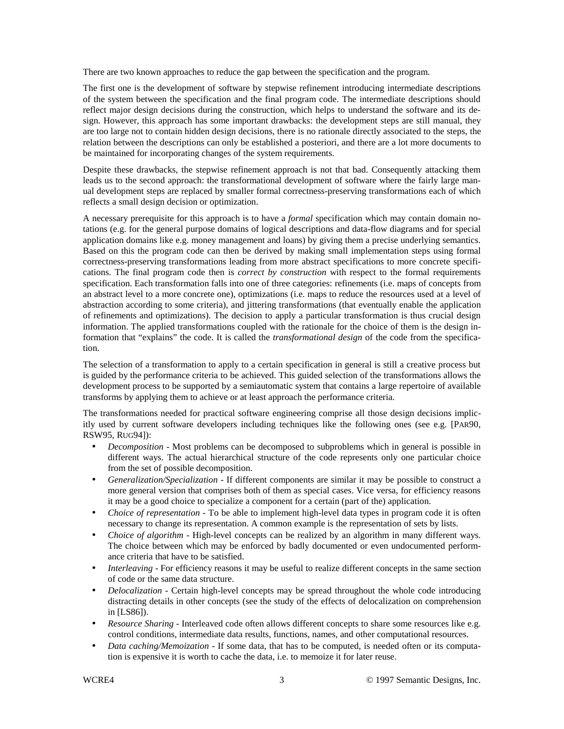There are two known approaches to reduce the gap between the specification and the program.

The first one is the development of software by stepwise refinement introducing intermediate descriptions of the system between the specification and the final program code. The intermediate descriptions should reflect major design decisions during the construction, which helps to understand the software and its design. However, this approach has some important drawbacks: the development steps are still manual, they are too large not to contain hidden design decisions, there is no rationale directly associated to the steps, the relation between the descriptions can only be established a posteriori, and there are a lot more documents to be maintained for incorporating changes of the system requirements.

Despite these drawbacks, the stepwise refinement approach is not that bad. Consequently attacking them leads us to the second approach: the transformational development of software where the fairly large manual development steps are replaced by smaller formal correctness-preserving transformations each of which reflects a small design decision or optimization.

A necessary prerequisite for this approach is to have a *formal* specification which may contain domain notations (e.g. for the general purpose domains of logical descriptions and data-flow diagrams and for special application domains like e.g. money management and loans) by giving them a precise underlying semantics. Based on this the program code can then be derived by making small implementation steps using formal correctness-preserving transformations leading from more abstract specifications to more concrete specifications. The final program code then is *correct by construction* with respect to the formal requirements specification. Each transformation falls into one of three categories: refinements (i.e. maps of concepts from an abstract level to a more concrete one), optimizations (i.e. maps to reduce the resources used at a level of abstraction according to some criteria), and jittering transformations (that eventually enable the application of refinements and optimizations). The decision to apply a particular transformation is thus crucial design information. The applied transformations coupled with the rationale for the choice of them is the design information that "explains" the code. It is called the *transformational design* of the code from the specification.

The selection of a transformation to apply to a certain specification in general is still a creative process but is guided by the performance criteria to be achieved. This guided selection of the transformations allows the development process to be supported by a semiautomatic system that contains a large repertoire of available transforms by applying them to achieve or at least approach the performance criteria.

The transformations needed for practical software engineering comprise all those design decisions implicitly used by current software developers including techniques like the following ones (see e.g. [PAR90, RSW95, RUG94]):

- *Decomposition* Most problems can be decomposed to subproblems which in general is possible in different ways. The actual hierarchical structure of the code represents only one particular choice from the set of possible decomposition.
- *Generalization/Specialization* If different components are similar it may be possible to construct a more general version that comprises both of them as special cases. Vice versa, for efficiency reasons it may be a good choice to specialize a component for a certain (part of the) application.
- *Choice of representation* To be able to implement high-level data types in program code it is often necessary to change its representation. A common example is the representation of sets by lists.
- *Choice of algorithm* High-level concepts can be realized by an algorithm in many different ways. The choice between which may be enforced by badly documented or even undocumented performance criteria that have to be satisfied.
- *Interleaving* For efficiency reasons it may be useful to realize different concepts in the same section of code or the same data structure.
- *Delocalization* Certain high-level concepts may be spread throughout the whole code introducing distracting details in other concepts (see the study of the effects of delocalization on comprehension in [LS86]).
- *Resource Sharing* Interleaved code often allows different concepts to share some resources like e.g. control conditions, intermediate data results, functions, names, and other computational resources.
- *Data caching/Memoization* If some data, that has to be computed, is needed often or its computation is expensive it is worth to cache the data, i.e. to memoize it for later reuse.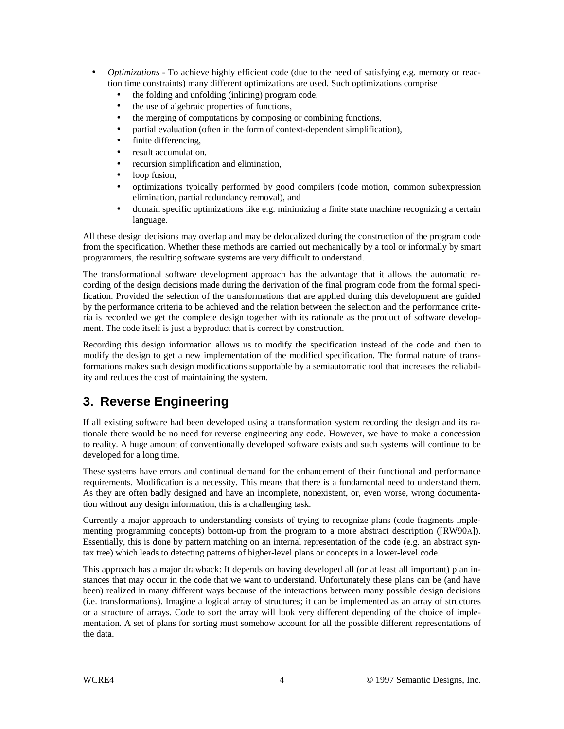- *Optimizations* To achieve highly efficient code (due to the need of satisfying e.g. memory or reaction time constraints) many different optimizations are used. Such optimizations comprise
	- the folding and unfolding (inlining) program code,
	- the use of algebraic properties of functions,
	- the merging of computations by composing or combining functions,
	- partial evaluation (often in the form of context-dependent simplification),
	- finite differencing,
	- result accumulation,
	- recursion simplification and elimination,
	- loop fusion.
	- optimizations typically performed by good compilers (code motion, common subexpression elimination, partial redundancy removal), and
	- domain specific optimizations like e.g. minimizing a finite state machine recognizing a certain language.

All these design decisions may overlap and may be delocalized during the construction of the program code from the specification. Whether these methods are carried out mechanically by a tool or informally by smart programmers, the resulting software systems are very difficult to understand.

The transformational software development approach has the advantage that it allows the automatic recording of the design decisions made during the derivation of the final program code from the formal specification. Provided the selection of the transformations that are applied during this development are guided by the performance criteria to be achieved and the relation between the selection and the performance criteria is recorded we get the complete design together with its rationale as the product of software development. The code itself is just a byproduct that is correct by construction.

Recording this design information allows us to modify the specification instead of the code and then to modify the design to get a new implementation of the modified specification. The formal nature of transformations makes such design modifications supportable by a semiautomatic tool that increases the reliability and reduces the cost of maintaining the system.

## **3. Reverse Engineering**

If all existing software had been developed using a transformation system recording the design and its rationale there would be no need for reverse engineering any code. However, we have to make a concession to reality. A huge amount of conventionally developed software exists and such systems will continue to be developed for a long time.

These systems have errors and continual demand for the enhancement of their functional and performance requirements. Modification is a necessity. This means that there is a fundamental need to understand them. As they are often badly designed and have an incomplete, nonexistent, or, even worse, wrong documentation without any design information, this is a challenging task.

Currently a major approach to understanding consists of trying to recognize plans (code fragments implementing programming concepts) bottom-up from the program to a more abstract description ([RW90A]). Essentially, this is done by pattern matching on an internal representation of the code (e.g. an abstract syntax tree) which leads to detecting patterns of higher-level plans or concepts in a lower-level code.

This approach has a major drawback: It depends on having developed all (or at least all important) plan instances that may occur in the code that we want to understand. Unfortunately these plans can be (and have been) realized in many different ways because of the interactions between many possible design decisions (i.e. transformations). Imagine a logical array of structures; it can be implemented as an array of structures or a structure of arrays. Code to sort the array will look very different depending of the choice of implementation. A set of plans for sorting must somehow account for all the possible different representations of the data.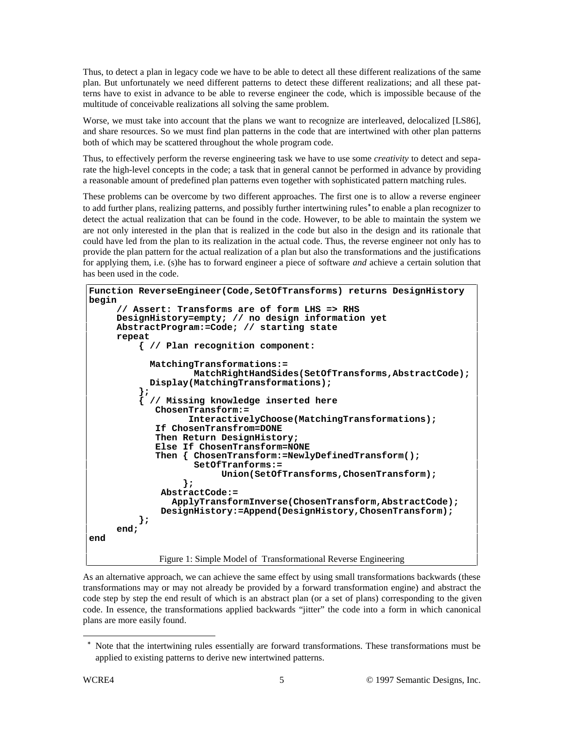Thus, to detect a plan in legacy code we have to be able to detect all these different realizations of the same plan. But unfortunately we need different patterns to detect these different realizations; and all these patterns have to exist in advance to be able to reverse engineer the code, which is impossible because of the multitude of conceivable realizations all solving the same problem.

Worse, we must take into account that the plans we want to recognize are interleaved, delocalized [LS86], and share resources. So we must find plan patterns in the code that are intertwined with other plan patterns both of which may be scattered throughout the whole program code.

Thus, to effectively perform the reverse engineering task we have to use some *creativity* to detect and separate the high-level concepts in the code; a task that in general cannot be performed in advance by providing a reasonable amount of predefined plan patterns even together with sophisticated pattern matching rules.

These problems can be overcome by two different approaches. The first one is to allow a reverse engineer to add further plans, realizing patterns, and possibly further intertwining rules<sup>∗</sup> to enable a plan recognizer to detect the actual realization that can be found in the code. However, to be able to maintain the system we are not only interested in the plan that is realized in the code but also in the design and its rationale that could have led from the plan to its realization in the actual code. Thus, the reverse engineer not only has to provide the plan pattern for the actual realization of a plan but also the transformations and the justifications for applying them, i.e. (s)he has to forward engineer a piece of software *and* achieve a certain solution that has been used in the code.

```
Function ReverseEngineer(Code,SetOfTransforms) returns DesignHistory
begin
      // Assert: Transforms are of form LHS => RHS
      DesignHistory=empty; // no design information yet
      AbstractProgram:=Code; // starting state
      repeat
          { // Plan recognition component:
            MatchingTransformations:=
                    MatchRightHandSides(SetOfTransforms,AbstractCode);
            Display(MatchingTransformations);
 };
            { // Missing knowledge inserted here
             ChosenTransform:=
                   InteractivelyChoose(MatchingTransformations);
             If ChosenTransfrom=DONE
             Then Return DesignHistory;
             Else If ChosenTransform=NONE
             Then { ChosenTransform:=NewlyDefinedTransform();
                    SetOfTranforms:=
                 Union(SetOfTransforms,ChosenTransform);
 };
              AbstractCode:=
                ApplyTransformInverse(ChosenTransform,AbstractCode);
              DesignHistory:=Append(DesignHistory,ChosenTransform);
          };
      end;
end
             Figure 1: Simple Model of Transformational Reverse Engineering
```
As an alternative approach, we can achieve the same effect by using small transformations backwards (these transformations may or may not already be provided by a forward transformation engine) and abstract the code step by step the end result of which is an abstract plan (or a set of plans) corresponding to the given code. In essence, the transformations applied backwards "jitter" the code into a form in which canonical plans are more easily found.

 $\overline{a}$ 

<sup>∗</sup> Note that the intertwining rules essentially are forward transformations. These transformations must be applied to existing patterns to derive new intertwined patterns.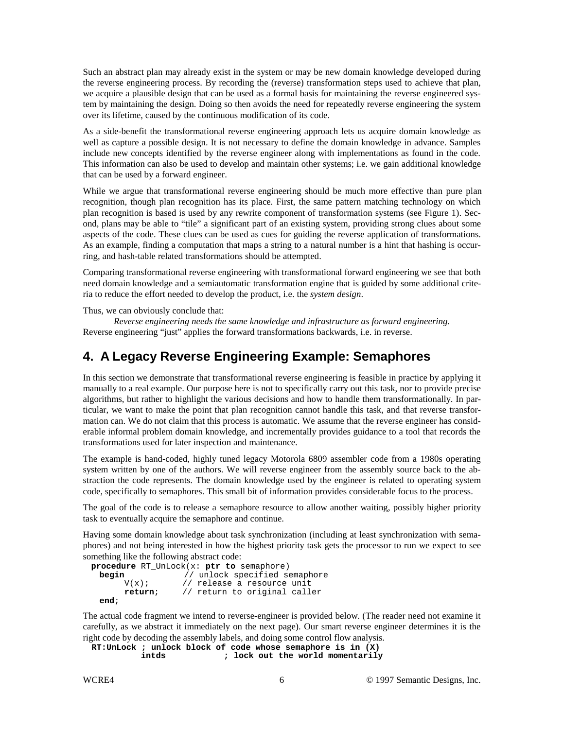Such an abstract plan may already exist in the system or may be new domain knowledge developed during the reverse engineering process. By recording the (reverse) transformation steps used to achieve that plan, we acquire a plausible design that can be used as a formal basis for maintaining the reverse engineered system by maintaining the design. Doing so then avoids the need for repeatedly reverse engineering the system over its lifetime, caused by the continuous modification of its code.

As a side-benefit the transformational reverse engineering approach lets us acquire domain knowledge as well as capture a possible design. It is not necessary to define the domain knowledge in advance. Samples include new concepts identified by the reverse engineer along with implementations as found in the code. This information can also be used to develop and maintain other systems; i.e. we gain additional knowledge that can be used by a forward engineer.

While we argue that transformational reverse engineering should be much more effective than pure plan recognition, though plan recognition has its place. First, the same pattern matching technology on which plan recognition is based is used by any rewrite component of transformation systems (see Figure 1). Second, plans may be able to "tile" a significant part of an existing system, providing strong clues about some aspects of the code. These clues can be used as cues for guiding the reverse application of transformations. As an example, finding a computation that maps a string to a natural number is a hint that hashing is occurring, and hash-table related transformations should be attempted.

Comparing transformational reverse engineering with transformational forward engineering we see that both need domain knowledge and a semiautomatic transformation engine that is guided by some additional criteria to reduce the effort needed to develop the product, i.e. the *system design*.

Thus, we can obviously conclude that:

*Reverse engineering needs the same knowledge and infrastructure as forward engineering.* Reverse engineering "just" applies the forward transformations backwards, i.e. in reverse.

### **4. A Legacy Reverse Engineering Example: Semaphores**

In this section we demonstrate that transformational reverse engineering is feasible in practice by applying it manually to a real example. Our purpose here is not to specifically carry out this task, nor to provide precise algorithms, but rather to highlight the various decisions and how to handle them transformationally. In particular, we want to make the point that plan recognition cannot handle this task, and that reverse transformation can. We do not claim that this process is automatic. We assume that the reverse engineer has considerable informal problem domain knowledge, and incrementally provides guidance to a tool that records the transformations used for later inspection and maintenance.

The example is hand-coded, highly tuned legacy Motorola 6809 assembler code from a 1980s operating system written by one of the authors. We will reverse engineer from the assembly source back to the abstraction the code represents. The domain knowledge used by the engineer is related to operating system code, specifically to semaphores. This small bit of information provides considerable focus to the process.

The goal of the code is to release a semaphore resource to allow another waiting, possibly higher priority task to eventually acquire the semaphore and continue.

Having some domain knowledge about task synchronization (including at least synchronization with semaphores) and not being interested in how the highest priority task gets the processor to run we expect to see something like the following abstract code:

**procedure** RT\_UnLock(x: **ptr to** semaphore) **begin** // unlock specified semaphore<br>V(x): // release a resource unit // release a resource unit **return**; // return to original caller **end**;

The actual code fragment we intend to reverse-engineer is provided below. (The reader need not examine it carefully, as we abstract it immediately on the next page). Our smart reverse engineer determines it is the right code by decoding the assembly labels, and doing some control flow analysis.

**RT:UnLock ; unlock block of code whose semaphore is in (X) intds ; lock out the world momentarily**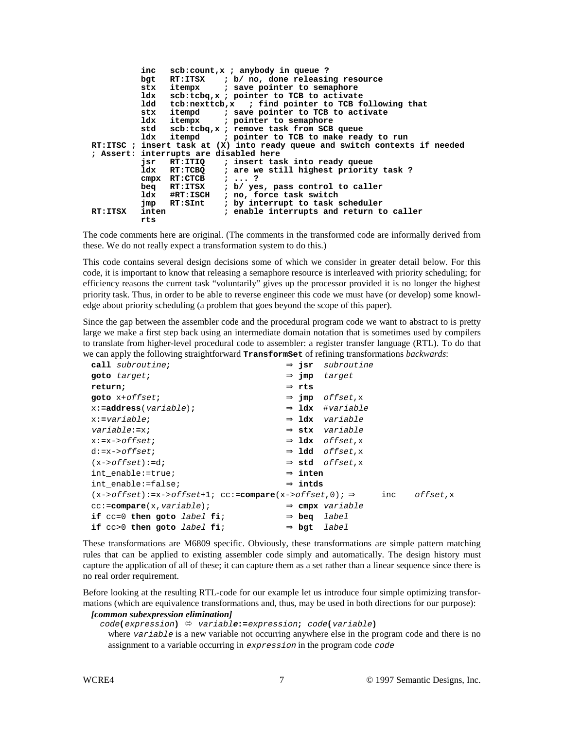|         | inc                                    |                                                                                 |  | $scb:count, x$ ; anybody in queue ?                |  |  |
|---------|----------------------------------------|---------------------------------------------------------------------------------|--|----------------------------------------------------|--|--|
|         | bgt                                    |                                                                                 |  | RT:ITSX ; b/ no, done releasing resource           |  |  |
|         | stx                                    |                                                                                 |  | itempx ; save pointer to semaphore                 |  |  |
|         | ldx                                    |                                                                                 |  | scb:tcbq, x; pointer to TCB to activate            |  |  |
|         | ldd                                    |                                                                                 |  | tcb:nexttcb,x ; find pointer to TCB following that |  |  |
|         | stx                                    |                                                                                 |  | itempd : save pointer to TCB to activate           |  |  |
|         | ldx                                    |                                                                                 |  | itempx ; pointer to semaphore                      |  |  |
|         |                                        |                                                                                 |  | std scb:tcbq,x; remove task from SCB queue         |  |  |
|         | ldx                                    |                                                                                 |  | itempd : pointer to TCB to make ready to run       |  |  |
|         |                                        | $RT:ITSC$ ; insert task at $(X)$ into ready queue and switch contexts if needed |  |                                                    |  |  |
|         | ; Assert: interrupts are disabled here |                                                                                 |  |                                                    |  |  |
|         |                                        |                                                                                 |  | jsr RT:ITIQ ; insert task into ready queue         |  |  |
|         |                                        | ldx RT:TCBQ                                                                     |  | ; are we still highest priority task ?             |  |  |
|         |                                        | $cmpx$ RT: $CTCB$                                                               |  | . ?                                                |  |  |
|         |                                        | beg RT:ITSX                                                                     |  | ; b/ yes, pass control to caller                   |  |  |
|         |                                        | ldx #RT:ISCH                                                                    |  | ; no, force task switch                            |  |  |
|         |                                        | $\mathsf{imp}$ RT:SInt                                                          |  | ; by interrupt to task scheduler                   |  |  |
| RT:ITSX | inten                                  |                                                                                 |  | ; enable interrupts and return to caller           |  |  |
|         | rts                                    |                                                                                 |  |                                                    |  |  |

The code comments here are original. (The comments in the transformed code are informally derived from these. We do not really expect a transformation system to do this.)

This code contains several design decisions some of which we consider in greater detail below. For this code, it is important to know that releasing a semaphore resource is interleaved with priority scheduling; for efficiency reasons the current task "voluntarily" gives up the processor provided it is no longer the highest priority task. Thus, in order to be able to reverse engineer this code we must have (or develop) some knowledge about priority scheduling (a problem that goes beyond the scope of this paper).

Since the gap between the assembler code and the procedural program code we want to abstract to is pretty large we make a first step back using an intermediate domain notation that is sometimes used by compilers to translate from higher-level procedural code to assembler: a register transfer language (RTL). To do that we can apply the following straightforward **TransformSet** of refining transformations *backwards*:

| call subroutine;                                                      |                          | $\Rightarrow$ isr subroutine             |
|-----------------------------------------------------------------------|--------------------------|------------------------------------------|
| goto target;                                                          | $\Rightarrow$ jmp target |                                          |
| return;                                                               | $\Rightarrow$ rts        |                                          |
| goto x+offset;                                                        |                          | $\Rightarrow$ jmp offset, x              |
| $x$ :=address(variable);                                              |                          | $\Rightarrow$ ldx #variable              |
| $x$ :=variable;                                                       |                          | $\Rightarrow$ <b>ldx</b> variable        |
| variable:=x;                                                          |                          | $\Rightarrow$ stx variable               |
| $x:=x->offset;$                                                       |                          | $\Rightarrow$ <b>ldx</b> <i>offset,x</i> |
| $d:=x->offset;$                                                       |                          | $\Rightarrow$ <b>ldd</b> <i>offset,x</i> |
| $(x \rightarrow \text{offset}) := d$ ;                                |                          | $\Rightarrow$ std offset.x               |
| int enable:=true;                                                     | $\Rightarrow$ inten      |                                          |
| $int$ enable:=false;                                                  | $\Rightarrow$ intds      |                                          |
| $(x->offset):=x->offset+1; cc:=compare(x->offset,0); \Rightarrow inc$ |                          | offset,x                                 |
| $cc := \text{compare}(x, variable)$ ;                                 |                          | $\Rightarrow$ cmpx variable              |
| if $cc=0$ then goto label fi;                                         | $\Rightarrow$ beg label  |                                          |
| if $cc>0$ then goto label fi;                                         | $\Rightarrow$ bgt label  |                                          |

These transformations are M6809 specific. Obviously, these transformations are simple pattern matching rules that can be applied to existing assembler code simply and automatically. The design history must capture the application of all of these; it can capture them as a set rather than a linear sequence since there is no real order requirement.

Before looking at the resulting RTL-code for our example let us introduce four simple optimizing transformations (which are equivalence transformations and, thus, may be used in both directions for our purpose):

*[common subexpression elimination]*

```
code(expression) Û variable:=expression; code(variable)
```
where variable is a new variable not occurring anywhere else in the program code and there is no assignment to a variable occurring in expression in the program code code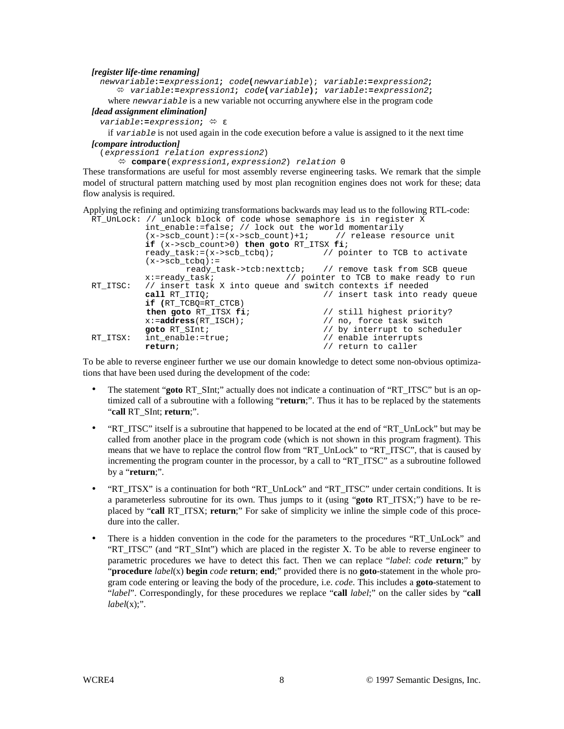#### *[register life-time renaming]*

| newvariable:=expression1;            code(newvariable);        variable:=expression2;      |  |
|--------------------------------------------------------------------------------------------|--|
| $\Leftrightarrow$ variable:=expression1; code(variable); variable:=expression2;            |  |
| where <i>newvariable</i> is a new variable not occurring anywhere else in the program code |  |

#### *[dead assignment elimination]*

variable**:=**expression**;** Û ε

if variable is not used again in the code execution before a value is assigned to it the next time *[compare introduction]*

(expression1 relation expression2)

Û **compare**(expression1,expression2) relation 0

These transformations are useful for most assembly reverse engineering tasks. We remark that the simple model of structural pattern matching used by most plan recognition engines does not work for these; data flow analysis is required.

Applying the refining and optimizing transformations backwards may lead us to the following RTL-code:

|          | RT UnLock: // unlock block of code whose semaphore is in register X |  |                                                        |  |  |  |  |  |
|----------|---------------------------------------------------------------------|--|--------------------------------------------------------|--|--|--|--|--|
|          | int_enable:=false; // lock out the world momentarily                |  |                                                        |  |  |  |  |  |
|          | $(x->scb count) := (x->scb count) + 1;$ // release resource unit    |  |                                                        |  |  |  |  |  |
|          | if $(x\rightarrow scb \text{ count}>0)$ then goto RT ITSX fi;       |  |                                                        |  |  |  |  |  |
|          | ready task:= $(x->scb tcbq)$ ; // pointer to TCB to activate        |  |                                                        |  |  |  |  |  |
|          | $(x->scb tcbq):=$                                                   |  |                                                        |  |  |  |  |  |
|          |                                                                     |  | ready_task->tcb:nexttcb; // remove task from SCB queue |  |  |  |  |  |
|          | x:=ready task;                                                      |  | // pointer to TCB to make ready to run                 |  |  |  |  |  |
|          | RT_ITSC: // insert task X into queue and switch contexts if needed  |  |                                                        |  |  |  |  |  |
|          | call RT ITIO;                                                       |  | // insert task into ready queue                        |  |  |  |  |  |
|          | if (RT TCBO=RT CTCB)                                                |  |                                                        |  |  |  |  |  |
|          | then goto RT ITSX fi;                                               |  | // still highest priority?                             |  |  |  |  |  |
|          | $x: = address(RT \text{ ISCH}):$                                    |  | // no, force task switch                               |  |  |  |  |  |
|          | goto RT SInt;                                                       |  | // by interrupt to scheduler                           |  |  |  |  |  |
| RT ITSX: | int enable:=true;                                                   |  | // enable interrupts                                   |  |  |  |  |  |
|          | return;                                                             |  | // return to caller                                    |  |  |  |  |  |

To be able to reverse engineer further we use our domain knowledge to detect some non-obvious optimizations that have been used during the development of the code:

- The statement "**goto** RT\_SInt;" actually does not indicate a continuation of "RT\_ITSC" but is an optimized call of a subroutine with a following "**return**;". Thus it has to be replaced by the statements "**call** RT\_SInt; **return**;".
- "RT\_ITSC" itself is a subroutine that happened to be located at the end of "RT\_UnLock" but may be called from another place in the program code (which is not shown in this program fragment). This means that we have to replace the control flow from "RT\_UnLock" to "RT\_ITSC", that is caused by incrementing the program counter in the processor, by a call to "RT\_ITSC" as a subroutine followed by a "**return**;".
- "RT\_ITSX" is a continuation for both "RT\_UnLock" and "RT\_ITSC" under certain conditions. It is a parameterless subroutine for its own. Thus jumps to it (using "**goto** RT\_ITSX;") have to be replaced by "**call** RT\_ITSX; **return**;" For sake of simplicity we inline the simple code of this procedure into the caller.
- There is a hidden convention in the code for the parameters to the procedures "RT\_UnLock" and "RT\_ITSC" (and "RT\_SInt") which are placed in the register X. To be able to reverse engineer to parametric procedures we have to detect this fact. Then we can replace "*label*: *code* **return**;" by "**procedure** *label*(x) **begin** *code* **return**; **end**;" provided there is no **goto**-statement in the whole program code entering or leaving the body of the procedure, i.e. *code*. This includes a **goto**-statement to "*label*". Correspondingly, for these procedures we replace "**call** *label*;" on the caller sides by "**call** *label*(x);".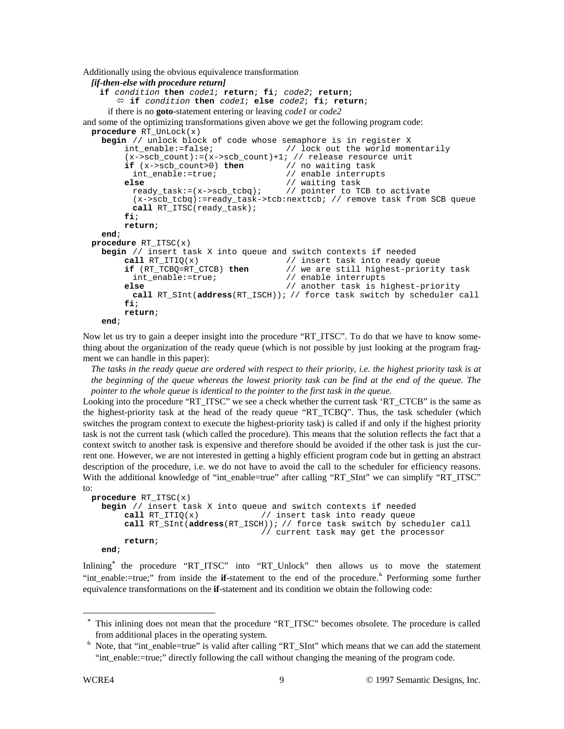Additionally using the obvious equivalence transformation

```
[if-then-else with procedure return]
```

```
if condition then code1; return; fi; code2; return;
        Û if condition then code1; else code2; fi; return;
      if there is no goto-statement entering or leaving code1 or code2
and some of the optimizing transformations given above we get the following program code:
  procedure RT_UnLock(x)
    begin // unlock block of code whose semaphore is in register X int_enable:=false; // lock out the world mome
                                                     // lock out the world momentarily
           (x->scb_count):=(x->scb_count)+1; // release resource unit<br>if (x->scb_count>0) then // no waiting task
          \begin{array}{ll} \texttt{if} & (\text{x->scb\_count>0}) \texttt{then} \\ \texttt{int\_enable:=true} & \end{array}// enable interrupts
          else // waiting task<br>ready_task:=(x->scb_tcbq); // pointer to T
                                                     // pointer to TCB to activate
             (x->scb_tcbq):=ready_task->tcb:nexttcb; // remove task from SCB queue
             call RT_ITSC(ready_task);
          fi;
          return;
     end;
 procedure RT_ITSC(x)
    begin // insert task X into queue and switch contexts if needed call RT ITIO(x) \frac{1}{10} // insert task into ready of
          call RT_ITIQ(x) \qquad // insert task into ready queue<br>
if (RT_TCBQ=RT_CTCB) then // we are still highest-priority
             if (RT_TCBQ=RT_CTCB) then // we are still highest-priority task
                                                     // enable interrupts
          else // another task is highest-priority
             call RT_SInt(address(RT_ISCH)); // force task switch by scheduler call
          fi;
          return;
     end;
```
Now let us try to gain a deeper insight into the procedure "RT\_ITSC". To do that we have to know something about the organization of the ready queue (which is not possible by just looking at the program fragment we can handle in this paper):

*The tasks in the ready queue are ordered with respect to their priority, i.e. the highest priority task is at the beginning of the queue whereas the lowest priority task can be find at the end of the queue. The pointer to the whole queue is identical to the pointer to the first task in the queue.*

Looking into the procedure "RT\_ITSC" we see a check whether the current task 'RT\_CTCB" is the same as the highest-priority task at the head of the ready queue "RT\_TCBQ". Thus, the task scheduler (which switches the program context to execute the highest-priority task) is called if and only if the highest priority task is not the current task (which called the procedure). This means that the solution reflects the fact that a context switch to another task is expensive and therefore should be avoided if the other task is just the current one. However, we are not interested in getting a highly efficient program code but in getting an abstract description of the procedure, i.e. we do not have to avoid the call to the scheduler for efficiency reasons. With the additional knowledge of "int enable=true" after calling "RT\_SInt" we can simplify "RT\_ITSC" to:

```
procedure RT_ITSC(x)
  begin // insert task X into queue and switch contexts if needed call RT ITIO(x) // insert task into ready queue
                                         // insert task into ready queue
        call RT_SInt(address(RT_ISCH)); // force task switch by scheduler call
                                         // current task may get the processor
        return;
   end;
```
Inlining<sup>∗</sup> the procedure "RT\_ITSC" into "RT\_Unlock" then allows us to move the statement "int\_enable:=true;" from inside the **if**-statement to the end of the procedure.<sup>&</sup> Performing some further equivalence transformations on the **if**-statement and its condition we obtain the following code:

 $\overline{a}$ 

<sup>∗</sup> This inlining does not mean that the procedure "RT\_ITSC" becomes obsolete. The procedure is called from additional places in the operating system.

<sup>&</sup>amp; Note, that "int\_enable=true" is valid after calling "RT\_SInt" which means that we can add the statement "int\_enable:=true;" directly following the call without changing the meaning of the program code.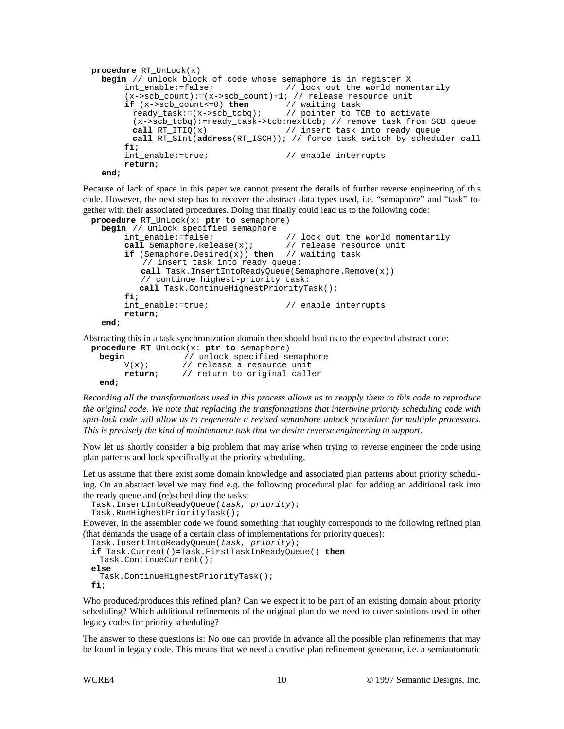```
procedure RT_UnLock(x)
  begin // unlock block of code whose semaphore is in register X int enable:=false; // lock out the world mome
        int_enable:=false; // lock out the world momentarily
        (x->scb_count):=(x->scb_count)+1; // release resource unit
       if (x->scb_count<=0) then // waiting task
         ready_task:=(x->scb_tcbq); // pointer to TCB to activate
         (x->scb_tcbq):=ready_task->tcb:nexttcb; // remove task from SCB queue <b>call</b> RT_ITIQ(x) // insert task into ready queue// insert task into ready queue
         call RT_SInt(address(RT_ISCH)); // force task switch by scheduler call
       fi;<br>int enable:=true;
                                             // enable interrupts
       return;
   end;
```
Because of lack of space in this paper we cannot present the details of further reverse engineering of this code. However, the next step has to recover the abstract data types used, i.e. "semaphore" and "task" together with their associated procedures. Doing that finally could lead us to the following code: **procedure** RT\_UnLock(x: **ptr to** semaphore)

```
 begin // unlock specified semaphore
                                     // lock out the world momentarily
    call Semaphore.Release(x); // release resource unit
    if (Semaphore.Desired(x)) then // waiting task
         // insert task into ready queue:
         call Task.InsertIntoReadyQueue(Semaphore.Remove(x))
         // continue highest-priority task:
    call Task.ContinueHighestPriorityTask();<br>fi;
    int enable:=true; \frac{1}{2} // enable interrupts
    return;
 end;
```
Abstracting this in a task synchronization domain then should lead us to the expected abstract code:

```
procedure RT_UnLock(x: ptr to semaphore)
  begin // unlock specified semaphore<br>V(x): // release a resource unit
         V(x); // release a resource unit<br>
Teturn; // return to original call
                         return; // return to original caller
  end;
```
*Recording all the transformations used in this process allows us to reapply them to this code to reproduce the original code. We note that replacing the transformations that intertwine priority scheduling code with spin-lock code will allow us to regenerate a revised semaphore unlock procedure for multiple processors. This is precisely the kind of maintenance task that we desire reverse engineering to support.*

Now let us shortly consider a big problem that may arise when trying to reverse engineer the code using plan patterns and look specifically at the priority scheduling.

Let us assume that there exist some domain knowledge and associated plan patterns about priority scheduling. On an abstract level we may find e.g. the following procedural plan for adding an additional task into the ready queue and (re)scheduling the tasks:

```
Task.InsertIntoReadyQueue(task, priority);
Task.RunHighestPriorityTask();
```
However, in the assembler code we found something that roughly corresponds to the following refined plan (that demands the usage of a certain class of implementations for priority queues):

```
Task.InsertIntoReadyQueue(task, priority);
if Task.Current()=Task.FirstTaskInReadyQueue() then
 Task.ContinueCurrent();
else
 Task.ContinueHighestPriorityTask();
fi;
```
Who produced/produces this refined plan? Can we expect it to be part of an existing domain about priority scheduling? Which additional refinements of the original plan do we need to cover solutions used in other legacy codes for priority scheduling?

The answer to these questions is: No one can provide in advance all the possible plan refinements that may be found in legacy code. This means that we need a creative plan refinement generator, i.e. a semiautomatic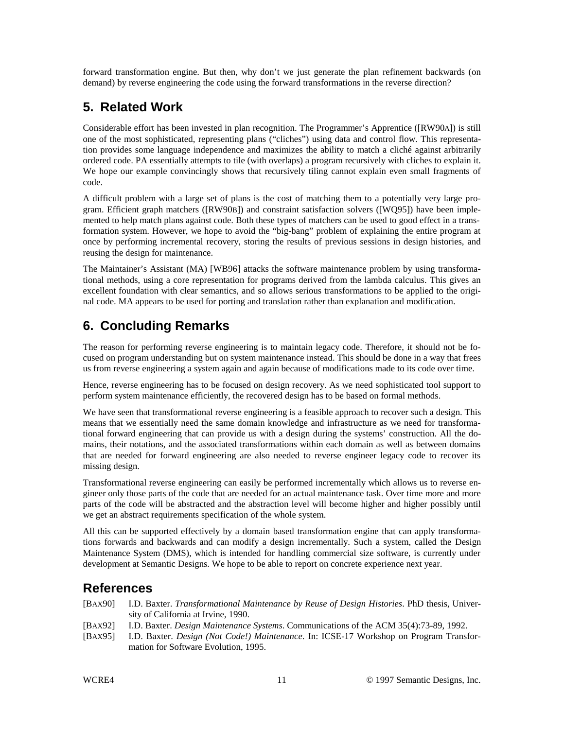forward transformation engine. But then, why don't we just generate the plan refinement backwards (on demand) by reverse engineering the code using the forward transformations in the reverse direction?

## **5. Related Work**

Considerable effort has been invested in plan recognition. The Programmer's Apprentice ([RW90A]) is still one of the most sophisticated, representing plans ("cliches") using data and control flow. This representation provides some language independence and maximizes the ability to match a cliché against arbitrarily ordered code. PA essentially attempts to tile (with overlaps) a program recursively with cliches to explain it. We hope our example convincingly shows that recursively tiling cannot explain even small fragments of code.

A difficult problem with a large set of plans is the cost of matching them to a potentially very large program. Efficient graph matchers ([RW90B]) and constraint satisfaction solvers ([WQ95]) have been implemented to help match plans against code. Both these types of matchers can be used to good effect in a transformation system. However, we hope to avoid the "big-bang" problem of explaining the entire program at once by performing incremental recovery, storing the results of previous sessions in design histories, and reusing the design for maintenance.

The Maintainer's Assistant (MA) [WB96] attacks the software maintenance problem by using transformational methods, using a core representation for programs derived from the lambda calculus. This gives an excellent foundation with clear semantics, and so allows serious transformations to be applied to the original code. MA appears to be used for porting and translation rather than explanation and modification.

# **6. Concluding Remarks**

The reason for performing reverse engineering is to maintain legacy code. Therefore, it should not be focused on program understanding but on system maintenance instead. This should be done in a way that frees us from reverse engineering a system again and again because of modifications made to its code over time.

Hence, reverse engineering has to be focused on design recovery. As we need sophisticated tool support to perform system maintenance efficiently, the recovered design has to be based on formal methods.

We have seen that transformational reverse engineering is a feasible approach to recover such a design. This means that we essentially need the same domain knowledge and infrastructure as we need for transformational forward engineering that can provide us with a design during the systems' construction. All the domains, their notations, and the associated transformations within each domain as well as between domains that are needed for forward engineering are also needed to reverse engineer legacy code to recover its missing design.

Transformational reverse engineering can easily be performed incrementally which allows us to reverse engineer only those parts of the code that are needed for an actual maintenance task. Over time more and more parts of the code will be abstracted and the abstraction level will become higher and higher possibly until we get an abstract requirements specification of the whole system.

All this can be supported effectively by a domain based transformation engine that can apply transformations forwards and backwards and can modify a design incrementally. Such a system, called the Design Maintenance System (DMS), which is intended for handling commercial size software, is currently under development at Semantic Designs. We hope to be able to report on concrete experience next year.

### **References**

- [BAX90] I.D. Baxter. *Transformational Maintenance by Reuse of Design Histories*. PhD thesis, University of California at Irvine, 1990.
- [BAX92] I.D. Baxter. *Design Maintenance Systems*. Communications of the ACM 35(4):73-89, 1992.
- [BAX95] I.D. Baxter. *Design (Not Code!) Maintenance*. In: ICSE-17 Workshop on Program Transformation for Software Evolution, 1995.